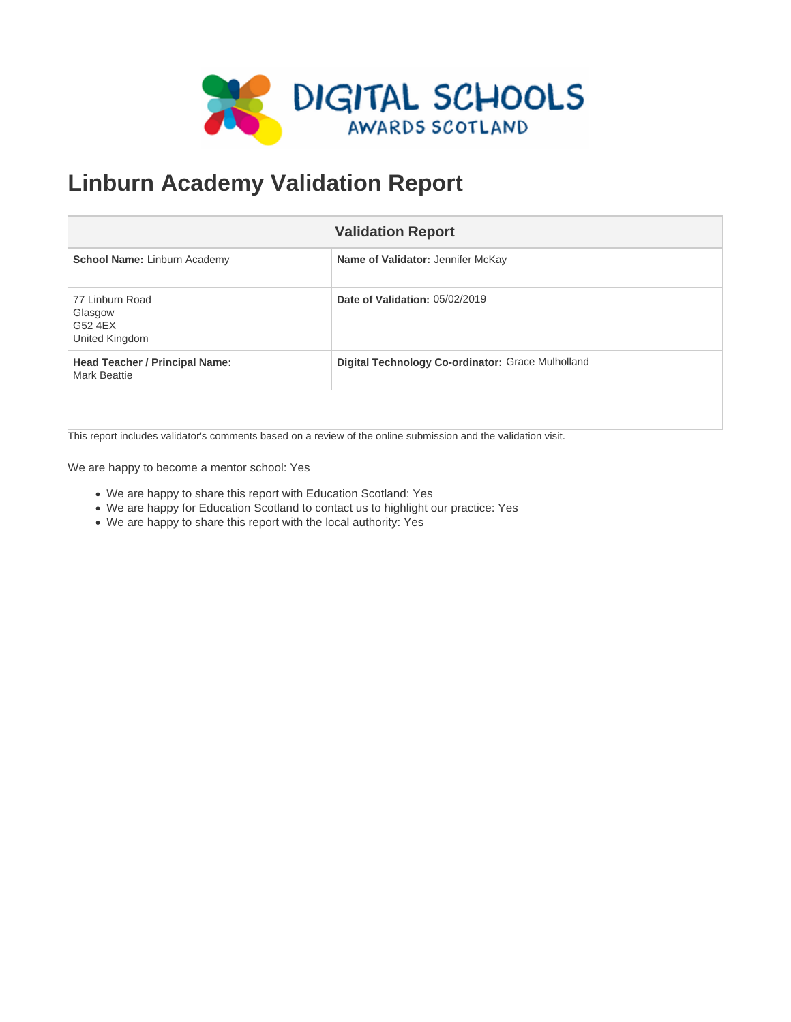

# **Linburn Academy Validation Report**

|                                                              | <b>Validation Report</b>                          |
|--------------------------------------------------------------|---------------------------------------------------|
| <b>School Name: Linburn Academy</b>                          | <b>Name of Validator: Jennifer McKay</b>          |
| 77 Linburn Road<br>Glasgow<br>G52 4EX<br>United Kingdom      | Date of Validation: 05/02/2019                    |
| <b>Head Teacher / Principal Name:</b><br><b>Mark Beattie</b> | Digital Technology Co-ordinator: Grace Mulholland |
|                                                              |                                                   |

This report includes validator's comments based on a review of the online submission and the validation visit.

We are happy to become a mentor school: Yes

- We are happy to share this report with Education Scotland: Yes
- We are happy for Education Scotland to contact us to highlight our practice: Yes
- We are happy to share this report with the local authority: Yes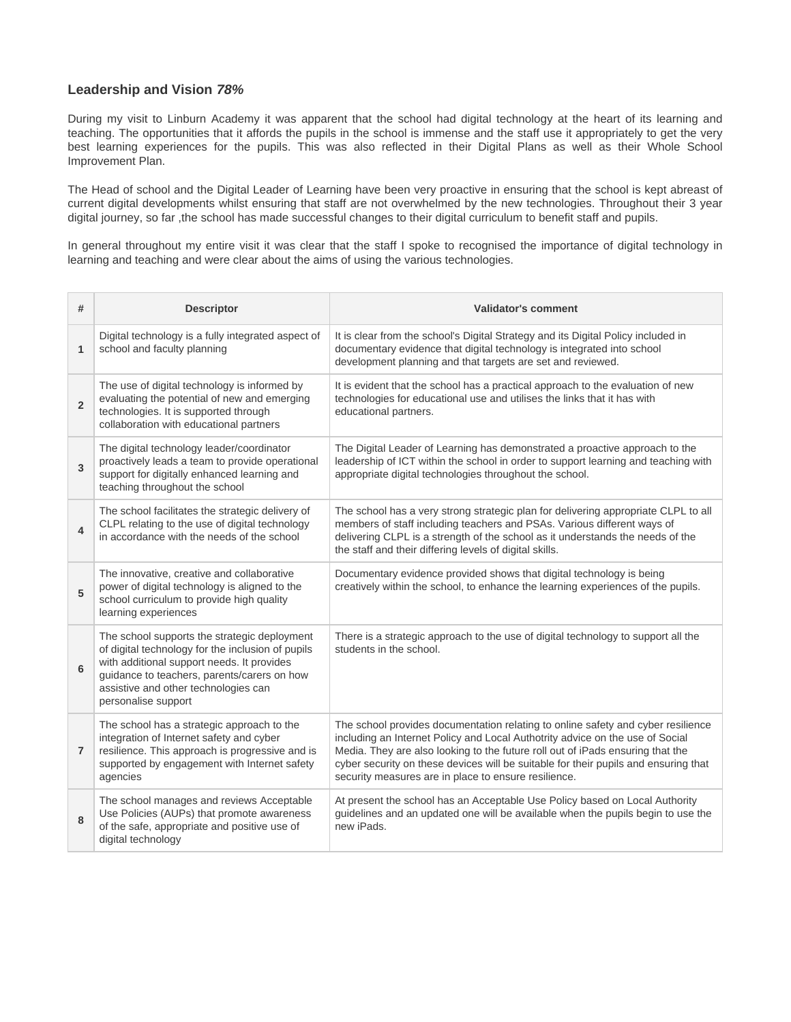#### **Leadership and Vision 78%**

During my visit to Linburn Academy it was apparent that the school had digital technology at the heart of its learning and teaching. The opportunities that it affords the pupils in the school is immense and the staff use it appropriately to get the very best learning experiences for the pupils. This was also reflected in their Digital Plans as well as their Whole School Improvement Plan.

The Head of school and the Digital Leader of Learning have been very proactive in ensuring that the school is kept abreast of current digital developments whilst ensuring that staff are not overwhelmed by the new technologies. Throughout their 3 year digital journey, so far ,the school has made successful changes to their digital curriculum to benefit staff and pupils.

In general throughout my entire visit it was clear that the staff I spoke to recognised the importance of digital technology in learning and teaching and were clear about the aims of using the various technologies.

| #                       | <b>Descriptor</b>                                                                                                                                                                                                                                             | <b>Validator's comment</b>                                                                                                                                                                                                                                                                                                                                                                         |
|-------------------------|---------------------------------------------------------------------------------------------------------------------------------------------------------------------------------------------------------------------------------------------------------------|----------------------------------------------------------------------------------------------------------------------------------------------------------------------------------------------------------------------------------------------------------------------------------------------------------------------------------------------------------------------------------------------------|
| $\mathbf{1}$            | Digital technology is a fully integrated aspect of<br>school and faculty planning                                                                                                                                                                             | It is clear from the school's Digital Strategy and its Digital Policy included in<br>documentary evidence that digital technology is integrated into school<br>development planning and that targets are set and reviewed.                                                                                                                                                                         |
| $\overline{2}$          | The use of digital technology is informed by<br>evaluating the potential of new and emerging<br>technologies. It is supported through<br>collaboration with educational partners                                                                              | It is evident that the school has a practical approach to the evaluation of new<br>technologies for educational use and utilises the links that it has with<br>educational partners.                                                                                                                                                                                                               |
| 3                       | The digital technology leader/coordinator<br>proactively leads a team to provide operational<br>support for digitally enhanced learning and<br>teaching throughout the school                                                                                 | The Digital Leader of Learning has demonstrated a proactive approach to the<br>leadership of ICT within the school in order to support learning and teaching with<br>appropriate digital technologies throughout the school.                                                                                                                                                                       |
| $\overline{\mathbf{4}}$ | The school facilitates the strategic delivery of<br>CLPL relating to the use of digital technology<br>in accordance with the needs of the school                                                                                                              | The school has a very strong strategic plan for delivering appropriate CLPL to all<br>members of staff including teachers and PSAs. Various different ways of<br>delivering CLPL is a strength of the school as it understands the needs of the<br>the staff and their differing levels of digital skills.                                                                                         |
| 5                       | The innovative, creative and collaborative<br>power of digital technology is aligned to the<br>school curriculum to provide high quality<br>learning experiences                                                                                              | Documentary evidence provided shows that digital technology is being<br>creatively within the school, to enhance the learning experiences of the pupils.                                                                                                                                                                                                                                           |
| 6                       | The school supports the strategic deployment<br>of digital technology for the inclusion of pupils<br>with additional support needs. It provides<br>guidance to teachers, parents/carers on how<br>assistive and other technologies can<br>personalise support | There is a strategic approach to the use of digital technology to support all the<br>students in the school.                                                                                                                                                                                                                                                                                       |
| $\overline{7}$          | The school has a strategic approach to the<br>integration of Internet safety and cyber<br>resilience. This approach is progressive and is<br>supported by engagement with Internet safety<br>agencies                                                         | The school provides documentation relating to online safety and cyber resilience<br>including an Internet Policy and Local Authotrity advice on the use of Social<br>Media. They are also looking to the future roll out of iPads ensuring that the<br>cyber security on these devices will be suitable for their pupils and ensuring that<br>security measures are in place to ensure resilience. |
| 8                       | The school manages and reviews Acceptable<br>Use Policies (AUPs) that promote awareness<br>of the safe, appropriate and positive use of<br>digital technology                                                                                                 | At present the school has an Acceptable Use Policy based on Local Authority<br>guidelines and an updated one will be available when the pupils begin to use the<br>new iPads.                                                                                                                                                                                                                      |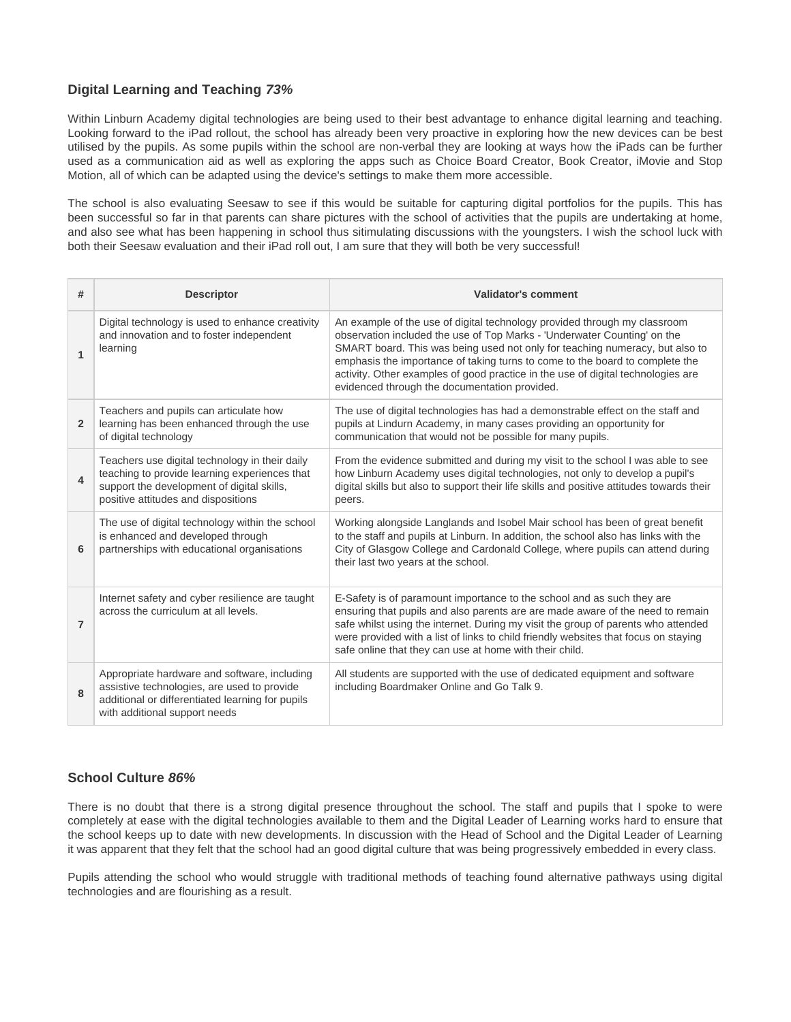## **Digital Learning and Teaching 73%**

Within Linburn Academy digital technologies are being used to their best advantage to enhance digital learning and teaching. Looking forward to the iPad rollout, the school has already been very proactive in exploring how the new devices can be best utilised by the pupils. As some pupils within the school are non-verbal they are looking at ways how the iPads can be further used as a communication aid as well as exploring the apps such as Choice Board Creator, Book Creator, iMovie and Stop Motion, all of which can be adapted using the device's settings to make them more accessible.

The school is also evaluating Seesaw to see if this would be suitable for capturing digital portfolios for the pupils. This has been successful so far in that parents can share pictures with the school of activities that the pupils are undertaking at home, and also see what has been happening in school thus sitimulating discussions with the youngsters. I wish the school luck with both their Seesaw evaluation and their iPad roll out, I am sure that they will both be very successful!

| #              | <b>Descriptor</b>                                                                                                                                                                    | <b>Validator's comment</b>                                                                                                                                                                                                                                                                                                                                                                                                                                 |
|----------------|--------------------------------------------------------------------------------------------------------------------------------------------------------------------------------------|------------------------------------------------------------------------------------------------------------------------------------------------------------------------------------------------------------------------------------------------------------------------------------------------------------------------------------------------------------------------------------------------------------------------------------------------------------|
| $\overline{1}$ | Digital technology is used to enhance creativity<br>and innovation and to foster independent<br>learning                                                                             | An example of the use of digital technology provided through my classroom<br>observation included the use of Top Marks - 'Underwater Counting' on the<br>SMART board. This was being used not only for teaching numeracy, but also to<br>emphasis the importance of taking turns to come to the board to complete the<br>activity. Other examples of good practice in the use of digital technologies are<br>evidenced through the documentation provided. |
| $\overline{2}$ | Teachers and pupils can articulate how<br>learning has been enhanced through the use<br>of digital technology                                                                        | The use of digital technologies has had a demonstrable effect on the staff and<br>pupils at Lindurn Academy, in many cases providing an opportunity for<br>communication that would not be possible for many pupils.                                                                                                                                                                                                                                       |
| 4              | Teachers use digital technology in their daily<br>teaching to provide learning experiences that<br>support the development of digital skills,<br>positive attitudes and dispositions | From the evidence submitted and during my visit to the school I was able to see<br>how Linburn Academy uses digital technologies, not only to develop a pupil's<br>digital skills but also to support their life skills and positive attitudes towards their<br>peers.                                                                                                                                                                                     |
| 6              | The use of digital technology within the school<br>is enhanced and developed through<br>partnerships with educational organisations                                                  | Working alongside Langlands and Isobel Mair school has been of great benefit<br>to the staff and pupils at Linburn. In addition, the school also has links with the<br>City of Glasgow College and Cardonald College, where pupils can attend during<br>their last two years at the school.                                                                                                                                                                |
| $\overline{7}$ | Internet safety and cyber resilience are taught<br>across the curriculum at all levels.                                                                                              | E-Safety is of paramount importance to the school and as such they are<br>ensuring that pupils and also parents are are made aware of the need to remain<br>safe whilst using the internet. During my visit the group of parents who attended<br>were provided with a list of links to child friendly websites that focus on staying<br>safe online that they can use at home with their child.                                                            |
| 8              | Appropriate hardware and software, including<br>assistive technologies, are used to provide<br>additional or differentiated learning for pupils<br>with additional support needs     | All students are supported with the use of dedicated equipment and software<br>including Boardmaker Online and Go Talk 9.                                                                                                                                                                                                                                                                                                                                  |

## **School Culture 86%**

There is no doubt that there is a strong digital presence throughout the school. The staff and pupils that I spoke to were completely at ease with the digital technologies available to them and the Digital Leader of Learning works hard to ensure that the school keeps up to date with new developments. In discussion with the Head of School and the Digital Leader of Learning it was apparent that they felt that the school had an good digital culture that was being progressively embedded in every class.

Pupils attending the school who would struggle with traditional methods of teaching found alternative pathways using digital technologies and are flourishing as a result.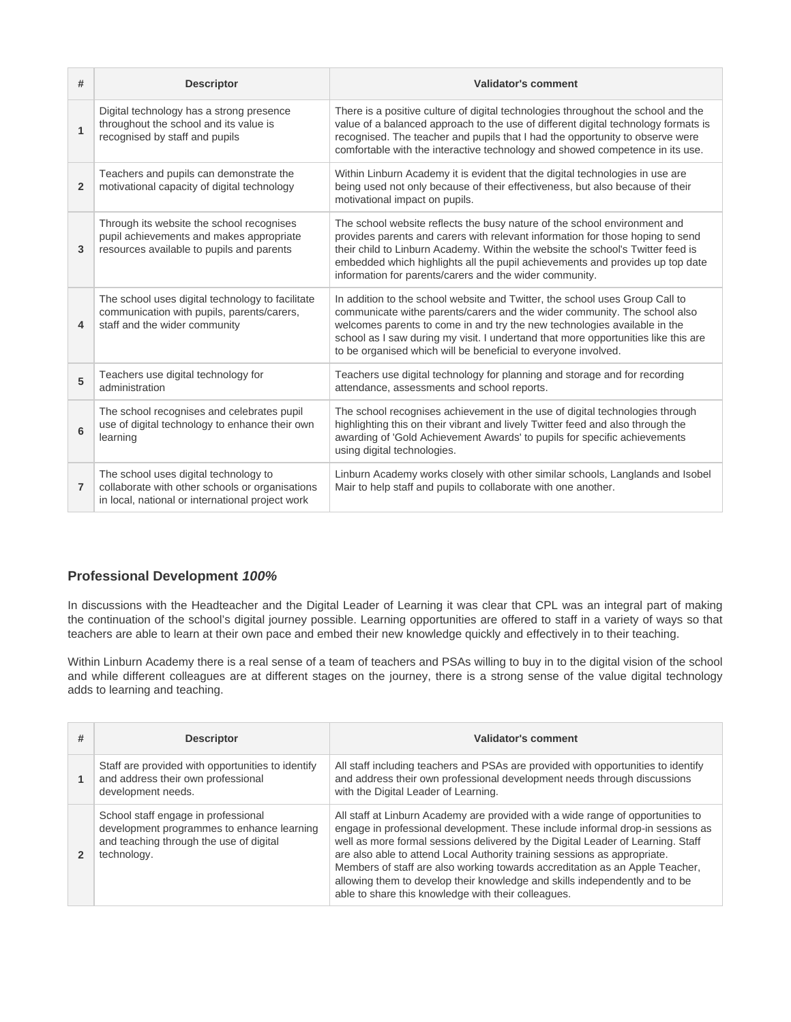| #                | <b>Descriptor</b>                                                                                                                            | <b>Validator's comment</b>                                                                                                                                                                                                                                                                                                                                                                     |
|------------------|----------------------------------------------------------------------------------------------------------------------------------------------|------------------------------------------------------------------------------------------------------------------------------------------------------------------------------------------------------------------------------------------------------------------------------------------------------------------------------------------------------------------------------------------------|
| $\overline{1}$   | Digital technology has a strong presence<br>throughout the school and its value is<br>recognised by staff and pupils                         | There is a positive culture of digital technologies throughout the school and the<br>value of a balanced approach to the use of different digital technology formats is<br>recognised. The teacher and pupils that I had the opportunity to observe were<br>comfortable with the interactive technology and showed competence in its use.                                                      |
| $\overline{2}$   | Teachers and pupils can demonstrate the<br>motivational capacity of digital technology                                                       | Within Linburn Academy it is evident that the digital technologies in use are<br>being used not only because of their effectiveness, but also because of their<br>motivational impact on pupils.                                                                                                                                                                                               |
| 3                | Through its website the school recognises<br>pupil achievements and makes appropriate<br>resources available to pupils and parents           | The school website reflects the busy nature of the school environment and<br>provides parents and carers with relevant information for those hoping to send<br>their child to Linburn Academy. Within the website the school's Twitter feed is<br>embedded which highlights all the pupil achievements and provides up top date<br>information for parents/carers and the wider community.     |
| $\boldsymbol{4}$ | The school uses digital technology to facilitate<br>communication with pupils, parents/carers,<br>staff and the wider community              | In addition to the school website and Twitter, the school uses Group Call to<br>communicate withe parents/carers and the wider community. The school also<br>welcomes parents to come in and try the new technologies available in the<br>school as I saw during my visit. I undertand that more opportunities like this are<br>to be organised which will be beneficial to everyone involved. |
| 5                | Teachers use digital technology for<br>administration                                                                                        | Teachers use digital technology for planning and storage and for recording<br>attendance, assessments and school reports.                                                                                                                                                                                                                                                                      |
| 6                | The school recognises and celebrates pupil<br>use of digital technology to enhance their own<br>learning                                     | The school recognises achievement in the use of digital technologies through<br>highlighting this on their vibrant and lively Twitter feed and also through the<br>awarding of 'Gold Achievement Awards' to pupils for specific achievements<br>using digital technologies.                                                                                                                    |
| $\overline{7}$   | The school uses digital technology to<br>collaborate with other schools or organisations<br>in local, national or international project work | Linburn Academy works closely with other similar schools, Langlands and Isobel<br>Mair to help staff and pupils to collaborate with one another.                                                                                                                                                                                                                                               |

## **Professional Development 100%**

In discussions with the Headteacher and the Digital Leader of Learning it was clear that CPL was an integral part of making the continuation of the school's digital journey possible. Learning opportunities are offered to staff in a variety of ways so that teachers are able to learn at their own pace and embed their new knowledge quickly and effectively in to their teaching.

Within Linburn Academy there is a real sense of a team of teachers and PSAs willing to buy in to the digital vision of the school and while different colleagues are at different stages on the journey, there is a strong sense of the value digital technology adds to learning and teaching.

| # | <b>Descriptor</b>                                                                                                                           | Validator's comment                                                                                                                                                                                                                                                                                                                                                                                                                                                                                                                                     |
|---|---------------------------------------------------------------------------------------------------------------------------------------------|---------------------------------------------------------------------------------------------------------------------------------------------------------------------------------------------------------------------------------------------------------------------------------------------------------------------------------------------------------------------------------------------------------------------------------------------------------------------------------------------------------------------------------------------------------|
|   | Staff are provided with opportunities to identify<br>and address their own professional<br>development needs.                               | All staff including teachers and PSAs are provided with opportunities to identify<br>and address their own professional development needs through discussions<br>with the Digital Leader of Learning.                                                                                                                                                                                                                                                                                                                                                   |
|   | School staff engage in professional<br>development programmes to enhance learning<br>and teaching through the use of digital<br>technology. | All staff at Linburn Academy are provided with a wide range of opportunities to<br>engage in professional development. These include informal drop-in sessions as<br>well as more formal sessions delivered by the Digital Leader of Learning. Staff<br>are also able to attend Local Authority training sessions as appropriate.<br>Members of staff are also working towards accreditation as an Apple Teacher,<br>allowing them to develop their knowledge and skills independently and to be<br>able to share this knowledge with their colleagues. |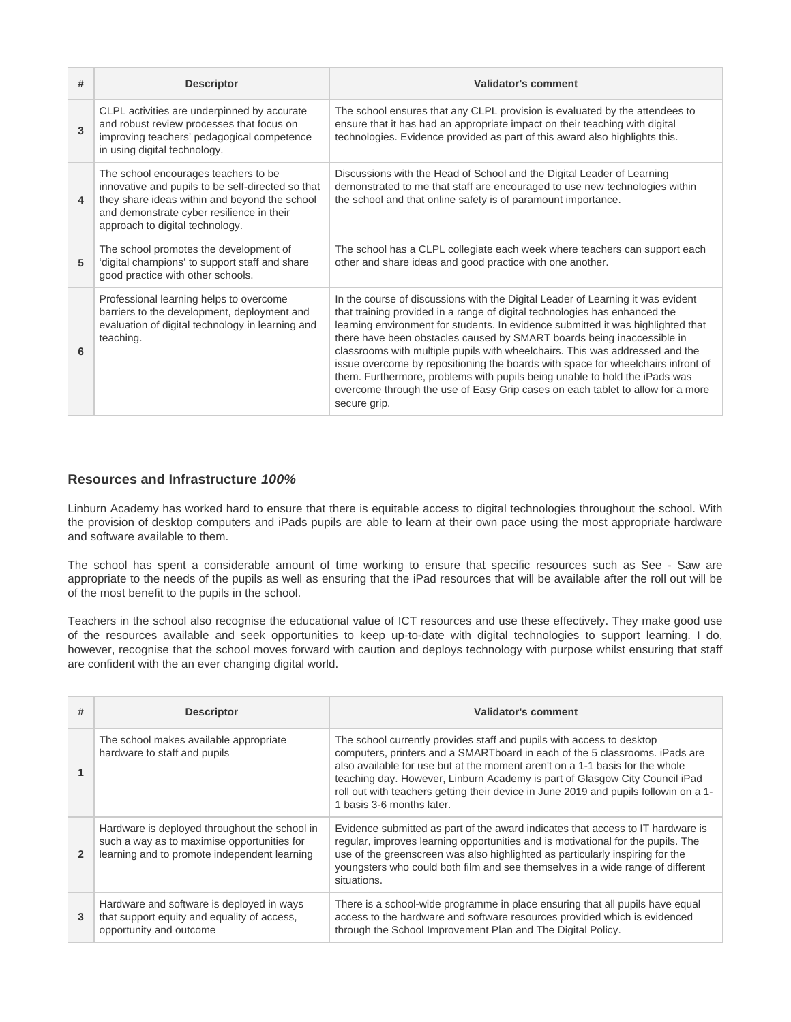| # | <b>Descriptor</b>                                                                                                                                                                                                           | <b>Validator's comment</b>                                                                                                                                                                                                                                                                                                                                                                                                                                                                                                                                                                                                                                                      |
|---|-----------------------------------------------------------------------------------------------------------------------------------------------------------------------------------------------------------------------------|---------------------------------------------------------------------------------------------------------------------------------------------------------------------------------------------------------------------------------------------------------------------------------------------------------------------------------------------------------------------------------------------------------------------------------------------------------------------------------------------------------------------------------------------------------------------------------------------------------------------------------------------------------------------------------|
| 3 | CLPL activities are underpinned by accurate<br>and robust review processes that focus on<br>improving teachers' pedagogical competence<br>in using digital technology.                                                      | The school ensures that any CLPL provision is evaluated by the attendees to<br>ensure that it has had an appropriate impact on their teaching with digital<br>technologies. Evidence provided as part of this award also highlights this.                                                                                                                                                                                                                                                                                                                                                                                                                                       |
| 4 | The school encourages teachers to be.<br>innovative and pupils to be self-directed so that<br>they share ideas within and beyond the school<br>and demonstrate cyber resilience in their<br>approach to digital technology. | Discussions with the Head of School and the Digital Leader of Learning<br>demonstrated to me that staff are encouraged to use new technologies within<br>the school and that online safety is of paramount importance.                                                                                                                                                                                                                                                                                                                                                                                                                                                          |
| 5 | The school promotes the development of<br>'digital champions' to support staff and share<br>good practice with other schools.                                                                                               | The school has a CLPL collegiate each week where teachers can support each<br>other and share ideas and good practice with one another.                                                                                                                                                                                                                                                                                                                                                                                                                                                                                                                                         |
| 6 | Professional learning helps to overcome<br>barriers to the development, deployment and<br>evaluation of digital technology in learning and<br>teaching.                                                                     | In the course of discussions with the Digital Leader of Learning it was evident<br>that training provided in a range of digital technologies has enhanced the<br>learning environment for students. In evidence submitted it was highlighted that<br>there have been obstacles caused by SMART boards being inaccessible in<br>classrooms with multiple pupils with wheelchairs. This was addressed and the<br>issue overcome by repositioning the boards with space for wheelchairs infront of<br>them. Furthermore, problems with pupils being unable to hold the iPads was<br>overcome through the use of Easy Grip cases on each tablet to allow for a more<br>secure grip. |

## **Resources and Infrastructure 100%**

Linburn Academy has worked hard to ensure that there is equitable access to digital technologies throughout the school. With the provision of desktop computers and iPads pupils are able to learn at their own pace using the most appropriate hardware and software available to them.

The school has spent a considerable amount of time working to ensure that specific resources such as See - Saw are appropriate to the needs of the pupils as well as ensuring that the iPad resources that will be available after the roll out will be of the most benefit to the pupils in the school.

Teachers in the school also recognise the educational value of ICT resources and use these effectively. They make good use of the resources available and seek opportunities to keep up-to-date with digital technologies to support learning. I do, however, recognise that the school moves forward with caution and deploys technology with purpose whilst ensuring that staff are confident with the an ever changing digital world.

| #              | <b>Descriptor</b>                                                                                                                            | Validator's comment                                                                                                                                                                                                                                                                                                                                                                                                                      |
|----------------|----------------------------------------------------------------------------------------------------------------------------------------------|------------------------------------------------------------------------------------------------------------------------------------------------------------------------------------------------------------------------------------------------------------------------------------------------------------------------------------------------------------------------------------------------------------------------------------------|
|                | The school makes available appropriate<br>hardware to staff and pupils                                                                       | The school currently provides staff and pupils with access to desktop<br>computers, printers and a SMARTboard in each of the 5 classrooms. iPads are<br>also available for use but at the moment aren't on a 1-1 basis for the whole<br>teaching day. However, Linburn Academy is part of Glasgow City Council iPad<br>roll out with teachers getting their device in June 2019 and pupils followin on a 1-<br>1 basis 3-6 months later. |
| $\overline{2}$ | Hardware is deployed throughout the school in<br>such a way as to maximise opportunities for<br>learning and to promote independent learning | Evidence submitted as part of the award indicates that access to IT hardware is<br>regular, improves learning opportunities and is motivational for the pupils. The<br>use of the greenscreen was also highlighted as particularly inspiring for the<br>youngsters who could both film and see themselves in a wide range of different<br>situations.                                                                                    |
| 3              | Hardware and software is deployed in ways<br>that support equity and equality of access,<br>opportunity and outcome                          | There is a school-wide programme in place ensuring that all pupils have equal<br>access to the hardware and software resources provided which is evidenced<br>through the School Improvement Plan and The Digital Policy.                                                                                                                                                                                                                |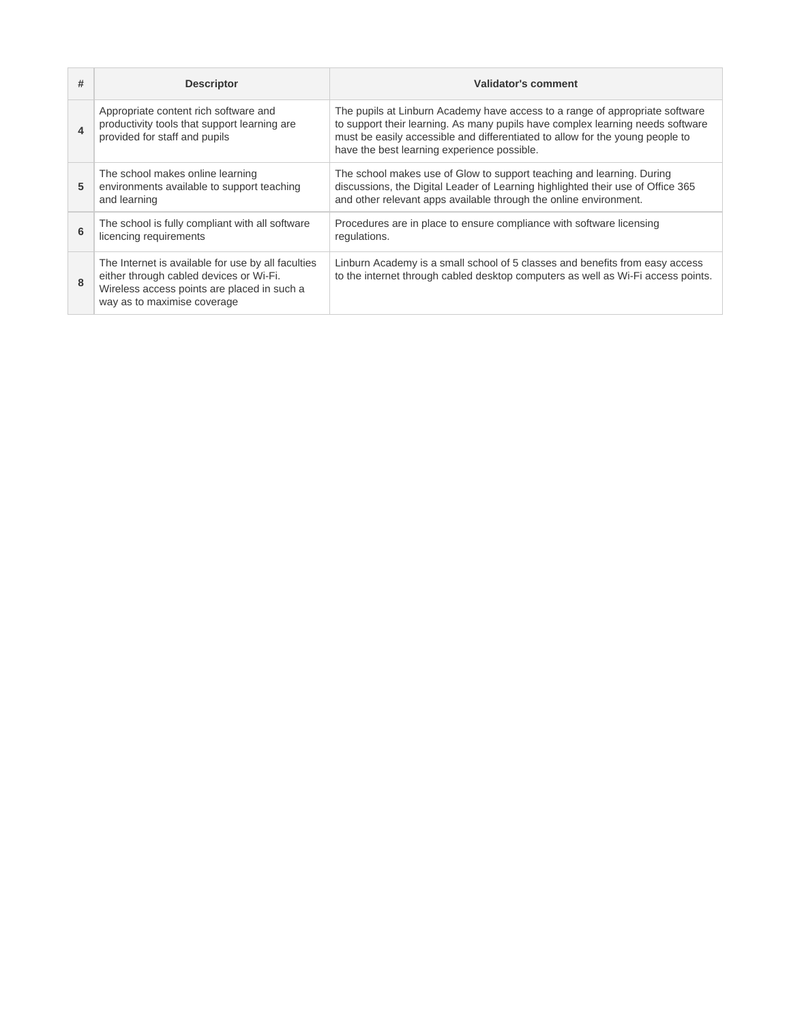| #                     | <b>Descriptor</b>                                                                                                                                                           | Validator's comment                                                                                                                                                                                                                                                                            |
|-----------------------|-----------------------------------------------------------------------------------------------------------------------------------------------------------------------------|------------------------------------------------------------------------------------------------------------------------------------------------------------------------------------------------------------------------------------------------------------------------------------------------|
| $\boldsymbol{\Delta}$ | Appropriate content rich software and<br>productivity tools that support learning are<br>provided for staff and pupils                                                      | The pupils at Linburn Academy have access to a range of appropriate software<br>to support their learning. As many pupils have complex learning needs software<br>must be easily accessible and differentiated to allow for the young people to<br>have the best learning experience possible. |
| 5                     | The school makes online learning<br>environments available to support teaching<br>and learning                                                                              | The school makes use of Glow to support teaching and learning. During<br>discussions, the Digital Leader of Learning highlighted their use of Office 365<br>and other relevant apps available through the online environment.                                                                  |
| 6                     | The school is fully compliant with all software<br>licencing requirements                                                                                                   | Procedures are in place to ensure compliance with software licensing<br>regulations.                                                                                                                                                                                                           |
| 8                     | The Internet is available for use by all faculties<br>either through cabled devices or Wi-Fi.<br>Wireless access points are placed in such a<br>way as to maximise coverage | Linburn Academy is a small school of 5 classes and benefits from easy access<br>to the internet through cabled desktop computers as well as Wi-Fi access points.                                                                                                                               |